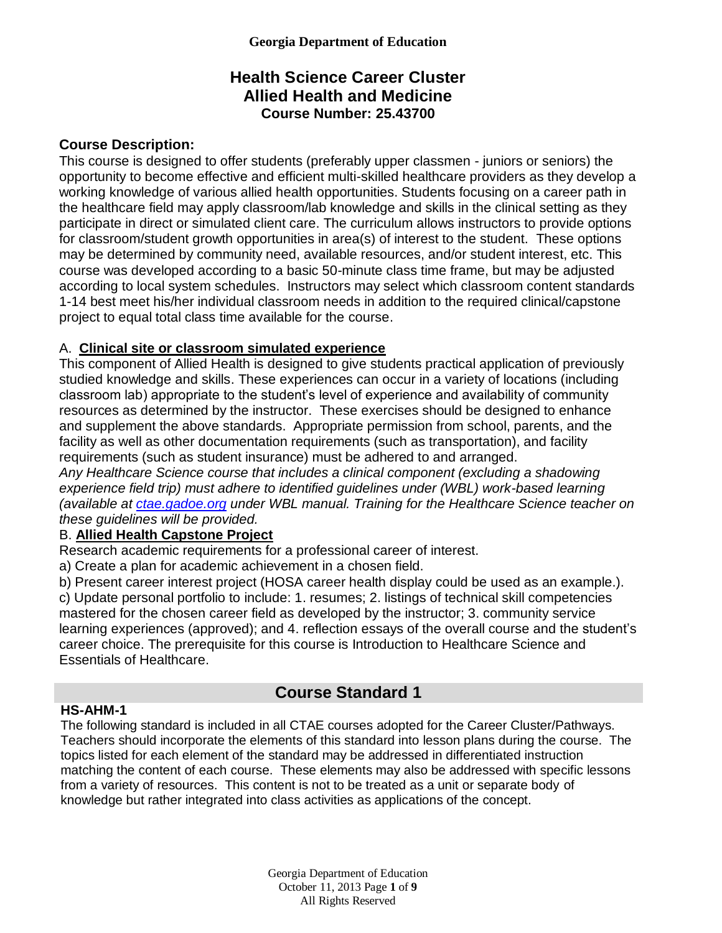## **Health Science Career Cluster Allied Health and Medicine Course Number: 25.43700**

## **Course Description:**

This course is designed to offer students (preferably upper classmen - juniors or seniors) the opportunity to become effective and efficient multi-skilled healthcare providers as they develop a working knowledge of various allied health opportunities. Students focusing on a career path in the healthcare field may apply classroom/lab knowledge and skills in the clinical setting as they participate in direct or simulated client care. The curriculum allows instructors to provide options for classroom/student growth opportunities in area(s) of interest to the student. These options may be determined by community need, available resources, and/or student interest, etc. This course was developed according to a basic 50-minute class time frame, but may be adjusted according to local system schedules. Instructors may select which classroom content standards 1-14 best meet his/her individual classroom needs in addition to the required clinical/capstone project to equal total class time available for the course.

### A. **Clinical site or classroom simulated experience**

This component of Allied Health is designed to give students practical application of previously studied knowledge and skills. These experiences can occur in a variety of locations (including classroom lab) appropriate to the student's level of experience and availability of community resources as determined by the instructor. These exercises should be designed to enhance and supplement the above standards. Appropriate permission from school, parents, and the facility as well as other documentation requirements (such as transportation), and facility requirements (such as student insurance) must be adhered to and arranged.

*Any Healthcare Science course that includes a clinical component (excluding a shadowing experience field trip) must adhere to identified guidelines under (WBL) work-based learning (available at [ctae.gadoe.org](http://ctae.gadoe.org/) under WBL manual. Training for the Healthcare Science teacher on these guidelines will be provided.*

## B. **Allied Health Capstone Project**

Research academic requirements for a professional career of interest.

a) Create a plan for academic achievement in a chosen field.

b) Present career interest project (HOSA career health display could be used as an example.).

c) Update personal portfolio to include: 1. resumes; 2. listings of technical skill competencies mastered for the chosen career field as developed by the instructor; 3. community service learning experiences (approved); and 4. reflection essays of the overall course and the student's career choice. The prerequisite for this course is Introduction to Healthcare Science and Essentials of Healthcare.

# **Course Standard 1**

### **HS-AHM-1**

The following standard is included in all CTAE courses adopted for the Career Cluster/Pathways. Teachers should incorporate the elements of this standard into lesson plans during the course. The topics listed for each element of the standard may be addressed in differentiated instruction matching the content of each course. These elements may also be addressed with specific lessons from a variety of resources. This content is not to be treated as a unit or separate body of knowledge but rather integrated into class activities as applications of the concept.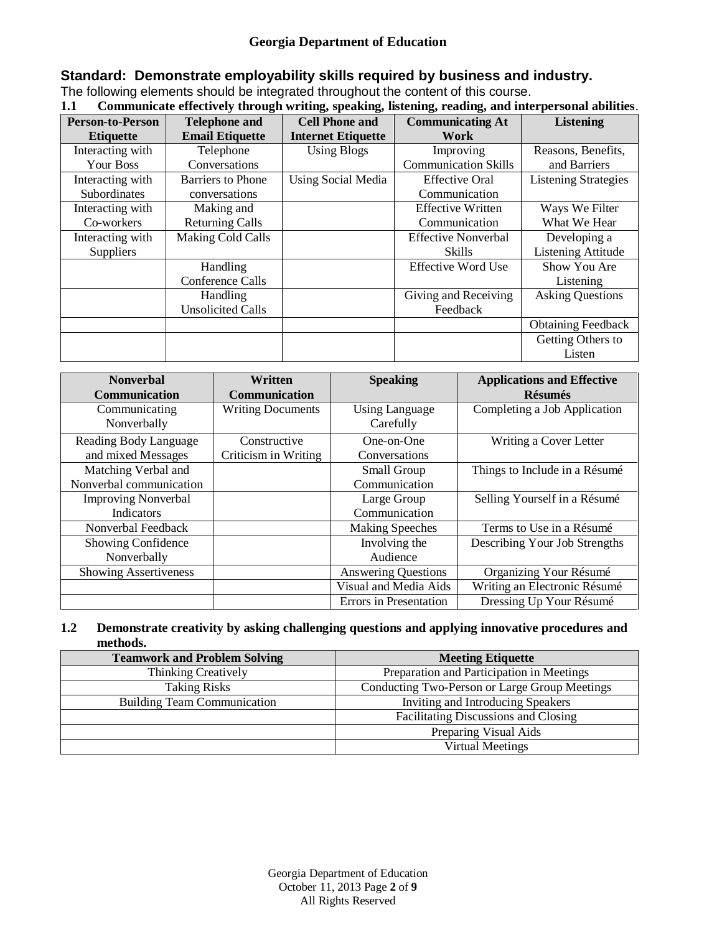# **Standard: Demonstrate employability skills required by business and industry.**

The following elements should be integrated throughout the content of this course.

|--|

|                         |                          | $\frac{1}{2}$             | $\frac{1}{2}$               |                             |
|-------------------------|--------------------------|---------------------------|-----------------------------|-----------------------------|
| <b>Person-to-Person</b> | <b>Telephone and</b>     | <b>Cell Phone and</b>     | <b>Communicating At</b>     | <b>Listening</b>            |
| <b>Etiquette</b>        | <b>Email Etiquette</b>   | <b>Internet Etiquette</b> | Work                        |                             |
| Interacting with        | Telephone                | <b>Using Blogs</b>        | Improving                   | Reasons, Benefits,          |
| Your Boss               | Conversations            |                           | <b>Communication Skills</b> | and Barriers                |
| Interacting with        | <b>Barriers</b> to Phone | Using Social Media        | <b>Effective Oral</b>       | <b>Listening Strategies</b> |
| Subordinates            | conversations            |                           | Communication               |                             |
| Interacting with        | Making and               |                           | <b>Effective Written</b>    | Ways We Filter              |
| Co-workers              | <b>Returning Calls</b>   |                           | Communication               | What We Hear                |
| Interacting with        | Making Cold Calls        |                           | <b>Effective Nonverbal</b>  | Developing a                |
| Suppliers               |                          |                           | Skills                      | <b>Listening Attitude</b>   |
|                         | Handling                 |                           | <b>Effective Word Use</b>   | Show You Are                |
|                         | Conference Calls         |                           |                             | Listening                   |
|                         | Handling                 |                           | Giving and Receiving        | <b>Asking Questions</b>     |
|                         | <b>Unsolicited Calls</b> |                           | Feedback                    |                             |
|                         |                          |                           |                             | <b>Obtaining Feedback</b>   |
|                         |                          |                           |                             | Getting Others to           |
|                         |                          |                           |                             | Listen                      |

| <b>Nonverbal</b>             | Written                  | <b>Speaking</b>            | <b>Applications and Effective</b> |
|------------------------------|--------------------------|----------------------------|-----------------------------------|
| Communication                | Communication            |                            | <b>Résumés</b>                    |
| Communicating                | <b>Writing Documents</b> | <b>Using Language</b>      | Completing a Job Application      |
| Nonverbally                  |                          | Carefully                  |                                   |
| Reading Body Language        | Constructive             | One-on-One                 | Writing a Cover Letter            |
| and mixed Messages           | Criticism in Writing     | Conversations              |                                   |
| Matching Verbal and          |                          | Small Group                | Things to Include in a Résumé     |
| Nonverbal communication      |                          | Communication              |                                   |
| <b>Improving Nonverbal</b>   |                          | Large Group                | Selling Yourself in a Résumé      |
| <b>Indicators</b>            |                          | Communication              |                                   |
| Nonverbal Feedback           |                          | <b>Making Speeches</b>     | Terms to Use in a Résumé          |
| Showing Confidence           |                          | Involving the              | Describing Your Job Strengths     |
| Nonverbally                  |                          | Audience                   |                                   |
| <b>Showing Assertiveness</b> |                          | <b>Answering Questions</b> | Organizing Your Résumé            |
|                              |                          | Visual and Media Aids      | Writing an Electronic Résumé      |
|                              |                          | Errors in Presentation     | Dressing Up Your Résumé           |

### **1.2 Demonstrate creativity by asking challenging questions and applying innovative procedures and methods.**

| <b>Teamwork and Problem Solving</b> | <b>Meeting Etiquette</b>                      |  |
|-------------------------------------|-----------------------------------------------|--|
| <b>Thinking Creatively</b>          | Preparation and Participation in Meetings     |  |
| <b>Taking Risks</b>                 | Conducting Two-Person or Large Group Meetings |  |
| <b>Building Team Communication</b>  | Inviting and Introducing Speakers             |  |
|                                     | Facilitating Discussions and Closing          |  |
|                                     | Preparing Visual Aids                         |  |
|                                     | <b>Virtual Meetings</b>                       |  |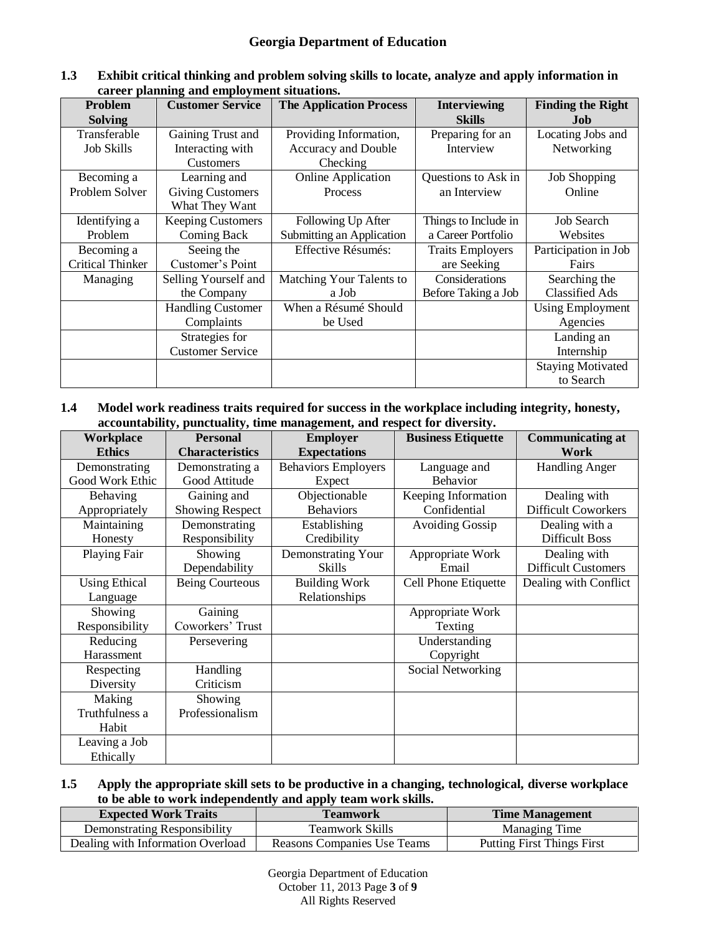| Problem                 | career planning and employment bleautholist<br><b>Customer Service</b> | <b>The Application Process</b> | <b>Interviewing</b>     | <b>Finding the Right</b> |
|-------------------------|------------------------------------------------------------------------|--------------------------------|-------------------------|--------------------------|
| <b>Solving</b>          |                                                                        |                                | <b>Skills</b>           | Job                      |
| Transferable            | Gaining Trust and                                                      | Providing Information,         | Preparing for an        | Locating Jobs and        |
| <b>Job Skills</b>       | Interacting with                                                       | Accuracy and Double            | Interview               | Networking               |
|                         | <b>Customers</b>                                                       | Checking                       |                         |                          |
| Becoming a              | Learning and                                                           | <b>Online Application</b>      | Questions to Ask in     | <b>Job Shopping</b>      |
| Problem Solver          | <b>Giving Customers</b>                                                | Process                        | an Interview            | Online                   |
|                         | What They Want                                                         |                                |                         |                          |
| Identifying a           | <b>Keeping Customers</b>                                               | Following Up After             | Things to Include in    | <b>Job Search</b>        |
| Problem                 | Coming Back                                                            | Submitting an Application      | a Career Portfolio      | Websites                 |
| Becoming a              | Seeing the                                                             | Effective Résumés:             | <b>Traits Employers</b> | Participation in Job     |
| <b>Critical Thinker</b> | Customer's Point                                                       |                                | are Seeking             | Fairs                    |
| Managing                | Selling Yourself and                                                   | Matching Your Talents to       | Considerations          | Searching the            |
|                         | the Company                                                            | a Job                          | Before Taking a Job     | <b>Classified Ads</b>    |
|                         | <b>Handling Customer</b>                                               | When a Résumé Should           |                         | <b>Using Employment</b>  |
|                         | Complaints                                                             | be Used                        |                         | Agencies                 |
|                         | Strategies for                                                         |                                |                         | Landing an               |
|                         | <b>Customer Service</b>                                                |                                |                         | Internship               |
|                         |                                                                        |                                |                         | <b>Staying Motivated</b> |
|                         |                                                                        |                                |                         | to Search                |

#### **1.3 Exhibit critical thinking and problem solving skills to locate, analyze and apply information in career planning and employment situations.**

**1.4 Model work readiness traits required for success in the workplace including integrity, honesty, accountability, punctuality, time management, and respect for diversity.**

| Workplace            | <b>Personal</b>        | <b>Employer</b>            | <b>Business Etiquette</b> | <b>Communicating at</b>    |
|----------------------|------------------------|----------------------------|---------------------------|----------------------------|
| <b>Ethics</b>        | <b>Characteristics</b> | <b>Expectations</b>        |                           | Work                       |
| Demonstrating        | Demonstrating a        | <b>Behaviors Employers</b> | Language and              | <b>Handling Anger</b>      |
| Good Work Ethic      | Good Attitude          | Expect                     | <b>Behavior</b>           |                            |
| Behaving             | Gaining and            | Objectionable              | Keeping Information       | Dealing with               |
| Appropriately        | <b>Showing Respect</b> | <b>Behaviors</b>           | Confidential              | <b>Difficult Coworkers</b> |
| Maintaining          | Demonstrating          | Establishing               | <b>Avoiding Gossip</b>    | Dealing with a             |
| Honesty              | Responsibility         | Credibility                |                           | <b>Difficult Boss</b>      |
| Playing Fair         | Showing                | Demonstrating Your         | Appropriate Work          | Dealing with               |
|                      | Dependability          | <b>Skills</b>              | Email                     | <b>Difficult Customers</b> |
| <b>Using Ethical</b> | <b>Being Courteous</b> | <b>Building Work</b>       | Cell Phone Etiquette      | Dealing with Conflict      |
| Language             |                        | Relationships              |                           |                            |
| Showing              | Gaining                |                            | Appropriate Work          |                            |
| Responsibility       | Coworkers' Trust       |                            | Texting                   |                            |
| Reducing             | Persevering            |                            | Understanding             |                            |
| Harassment           |                        |                            | Copyright                 |                            |
| Respecting           | Handling               |                            | Social Networking         |                            |
| Diversity            | Criticism              |                            |                           |                            |
| Making               | Showing                |                            |                           |                            |
| Truthfulness a       | Professionalism        |                            |                           |                            |
| Habit                |                        |                            |                           |                            |
| Leaving a Job        |                        |                            |                           |                            |
| Ethically            |                        |                            |                           |                            |

### **1.5 Apply the appropriate skill sets to be productive in a changing, technological, diverse workplace to be able to work independently and apply team work skills.**

| <b>Expected Work Traits</b>       | <b>Teamwork</b>             | <b>Time Management</b>            |
|-----------------------------------|-----------------------------|-----------------------------------|
| Demonstrating Responsibility      | Teamwork Skills             | <b>Managing Time</b>              |
| Dealing with Information Overload | Reasons Companies Use Teams | <b>Putting First Things First</b> |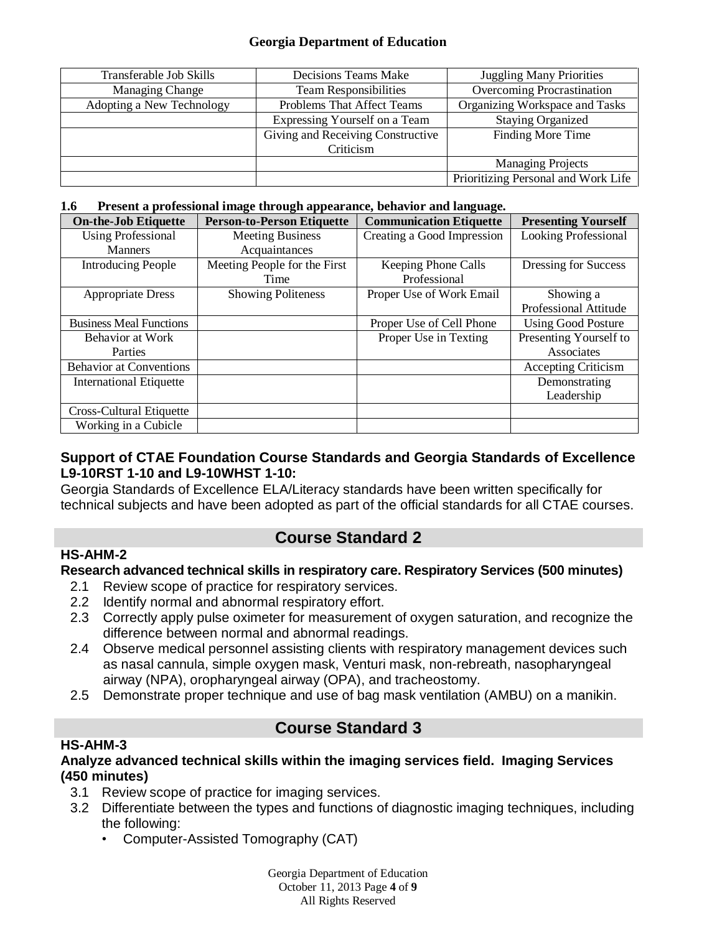#### **Georgia Department of Education**

| Transferable Job Skills   | Decisions Teams Make              | <b>Juggling Many Priorities</b>     |
|---------------------------|-----------------------------------|-------------------------------------|
| <b>Managing Change</b>    | <b>Team Responsibilities</b>      | Overcoming Procrastination          |
| Adopting a New Technology | Problems That Affect Teams        | Organizing Workspace and Tasks      |
|                           | Expressing Yourself on a Team     | <b>Staying Organized</b>            |
|                           | Giving and Receiving Constructive | Finding More Time                   |
|                           | Criticism                         |                                     |
|                           |                                   | <b>Managing Projects</b>            |
|                           |                                   | Prioritizing Personal and Work Life |

#### **1.6 Present a professional image through appearance, behavior and language.**

| <b>On-the-Job Etiquette</b>     | <b>Person-to-Person Etiquette</b> | <b>Communication Etiquette</b> | <b>Presenting Yourself</b>  |
|---------------------------------|-----------------------------------|--------------------------------|-----------------------------|
| <b>Using Professional</b>       | <b>Meeting Business</b>           | Creating a Good Impression     | <b>Looking Professional</b> |
| <b>Manners</b>                  | Acquaintances                     |                                |                             |
| <b>Introducing People</b>       | Meeting People for the First      | Keeping Phone Calls            | Dressing for Success        |
|                                 | Time                              | Professional                   |                             |
| <b>Appropriate Dress</b>        | <b>Showing Politeness</b>         | Proper Use of Work Email       | Showing a                   |
|                                 |                                   |                                | Professional Attitude       |
| <b>Business Meal Functions</b>  |                                   | Proper Use of Cell Phone       | <b>Using Good Posture</b>   |
| Behavior at Work                |                                   | Proper Use in Texting          | Presenting Yourself to      |
| Parties                         |                                   |                                | Associates                  |
| <b>Behavior at Conventions</b>  |                                   |                                | <b>Accepting Criticism</b>  |
| <b>International Etiquette</b>  |                                   |                                | Demonstrating               |
|                                 |                                   |                                | Leadership                  |
| <b>Cross-Cultural Etiquette</b> |                                   |                                |                             |
| Working in a Cubicle            |                                   |                                |                             |

## **Support of CTAE Foundation Course Standards and Georgia Standards of Excellence L9-10RST 1-10 and L9-10WHST 1-10:**

Georgia Standards of Excellence ELA/Literacy standards have been written specifically for technical subjects and have been adopted as part of the official standards for all CTAE courses.

# **Course Standard 2**

## **Research advanced technical skills in respiratory care. Respiratory Services (500 minutes)**

- 2.1 Review scope of practice for respiratory services.
- 2.2 Identify normal and abnormal respiratory effort.
- 2.3 Correctly apply pulse oximeter for measurement of oxygen saturation, and recognize the difference between normal and abnormal readings.
- 2.4 Observe medical personnel assisting clients with respiratory management devices such as nasal cannula, simple oxygen mask, Venturi mask, non-rebreath, nasopharyngeal airway (NPA), oropharyngeal airway (OPA), and tracheostomy.
- 2.5 Demonstrate proper technique and use of bag mask ventilation (AMBU) on a manikin.

# **Course Standard 3**

### **HS-AHM-3**

**HS-AHM-2**

### **Analyze advanced technical skills within the imaging services field. Imaging Services (450 minutes)**

- 3.1 Review scope of practice for imaging services.
- 3.2 Differentiate between the types and functions of diagnostic imaging techniques, including the following:
	- Computer-Assisted Tomography (CAT)

Georgia Department of Education October 11, 2013 Page **4** of **9** All Rights Reserved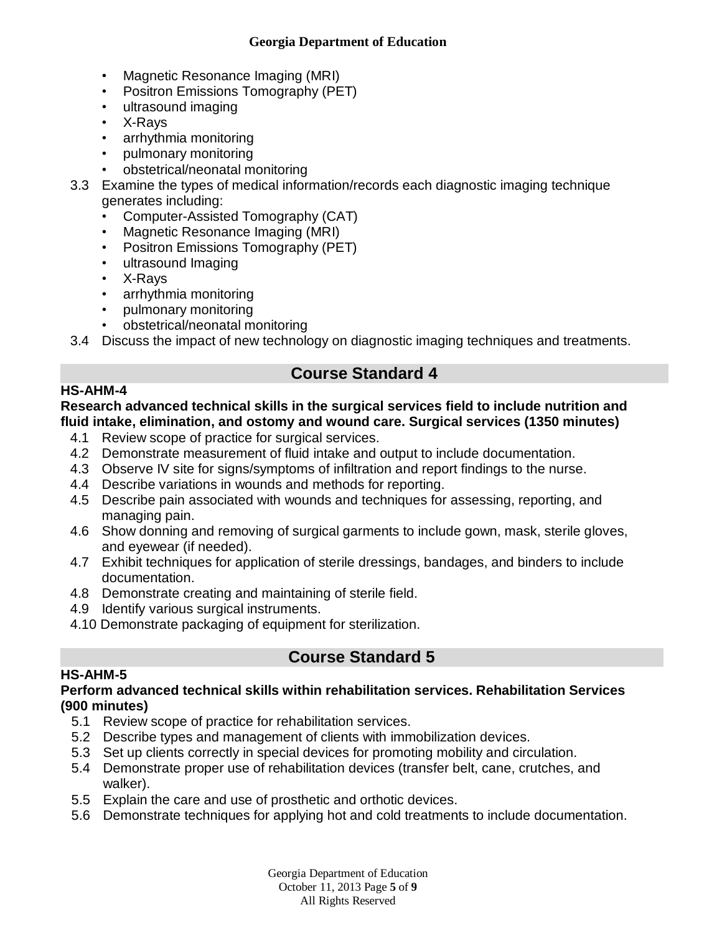#### **Georgia Department of Education**

- Magnetic Resonance Imaging (MRI)
- Positron Emissions Tomography (PET)
- ultrasound imaging
- X-Rays
- arrhythmia monitoring
- pulmonary monitoring
- obstetrical/neonatal monitoring
- 3.3 Examine the types of medical information/records each diagnostic imaging technique generates including:
	- Computer-Assisted Tomography (CAT)
	- Magnetic Resonance Imaging (MRI)
	- Positron Emissions Tomography (PET)
	- ultrasound Imaging
	- X-Rays
	- arrhythmia monitoring
	- pulmonary monitoring
	- obstetrical/neonatal monitoring

3.4 Discuss the impact of new technology on diagnostic imaging techniques and treatments.

# **Course Standard 4**

## **HS-AHM-4**

### **Research advanced technical skills in the surgical services field to include nutrition and fluid intake, elimination, and ostomy and wound care. Surgical services (1350 minutes)**

- 4.1 Review scope of practice for surgical services.
- 4.2 Demonstrate measurement of fluid intake and output to include documentation.
- 4.3 Observe IV site for signs/symptoms of infiltration and report findings to the nurse.
- 4.4 Describe variations in wounds and methods for reporting.
- 4.5 Describe pain associated with wounds and techniques for assessing, reporting, and managing pain.
- 4.6 Show donning and removing of surgical garments to include gown, mask, sterile gloves, and eyewear (if needed).
- 4.7 Exhibit techniques for application of sterile dressings, bandages, and binders to include documentation.
- 4.8 Demonstrate creating and maintaining of sterile field.
- 4.9 Identify various surgical instruments.
- 4.10 Demonstrate packaging of equipment for sterilization.

# **Course Standard 5**

## **HS-AHM-5**

### **Perform advanced technical skills within rehabilitation services. Rehabilitation Services (900 minutes)**

- 5.1 Review scope of practice for rehabilitation services.
- 5.2 Describe types and management of clients with immobilization devices.
- 5.3 Set up clients correctly in special devices for promoting mobility and circulation.
- 5.4 Demonstrate proper use of rehabilitation devices (transfer belt, cane, crutches, and walker).
- 5.5 Explain the care and use of prosthetic and orthotic devices.
- 5.6 Demonstrate techniques for applying hot and cold treatments to include documentation.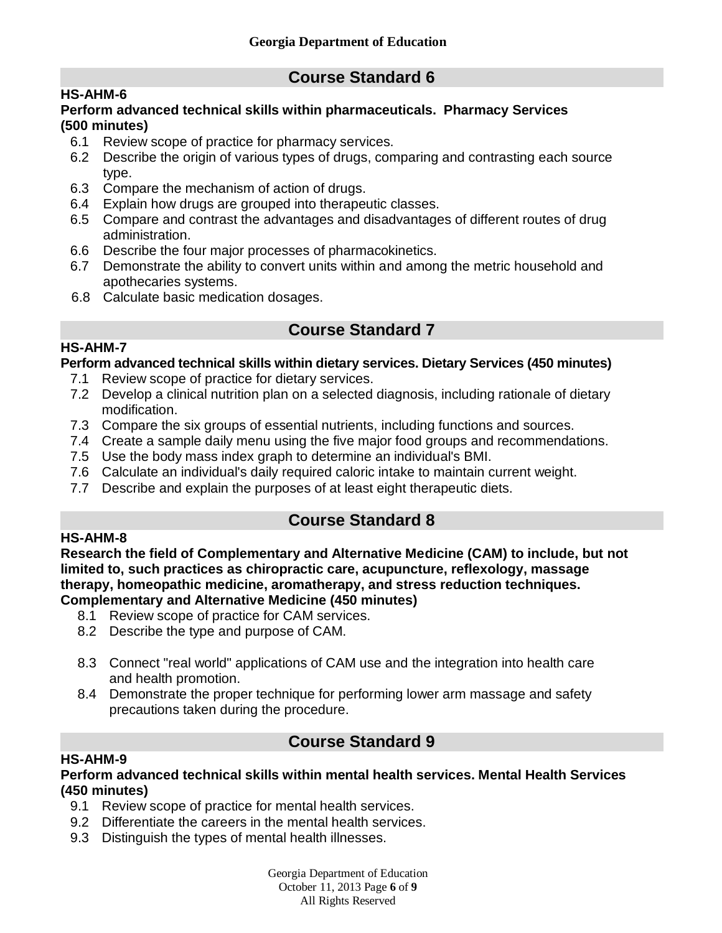# **Course Standard 6**

## **HS-AHM-6**

### **Perform advanced technical skills within pharmaceuticals. Pharmacy Services (500 minutes)**

- 6.1 Review scope of practice for pharmacy services.
- 6.2 Describe the origin of various types of drugs, comparing and contrasting each source type.
- 6.3 Compare the mechanism of action of drugs.
- 6.4 Explain how drugs are grouped into therapeutic classes.
- 6.5 Compare and contrast the advantages and disadvantages of different routes of drug administration.
- 6.6 Describe the four major processes of pharmacokinetics.
- 6.7 Demonstrate the ability to convert units within and among the metric household and apothecaries systems.
- 6.8 Calculate basic medication dosages.

# **Course Standard 7**

## **Perform advanced technical skills within dietary services. Dietary Services (450 minutes)**

- 7.1 Review scope of practice for dietary services.
- 7.2 Develop a clinical nutrition plan on a selected diagnosis, including rationale of dietary modification.
- 7.3 Compare the six groups of essential nutrients, including functions and sources.
- 7.4 Create a sample daily menu using the five major food groups and recommendations.
- 7.5 Use the body mass index graph to determine an individual's BMI.
- 7.6 Calculate an individual's daily required caloric intake to maintain current weight.
- 7.7 Describe and explain the purposes of at least eight therapeutic diets.

# **Course Standard 8**

### **HS-AHM-8**

**HS-AHM-7**

**Research the field of Complementary and Alternative Medicine (CAM) to include, but not limited to, such practices as chiropractic care, acupuncture, reflexology, massage therapy, homeopathic medicine, aromatherapy, and stress reduction techniques. Complementary and Alternative Medicine (450 minutes)**

- 8.1 Review scope of practice for CAM services.
- 8.2 Describe the type and purpose of CAM.
- 8.3 Connect "real world" applications of CAM use and the integration into health care and health promotion.
- 8.4 Demonstrate the proper technique for performing lower arm massage and safety precautions taken during the procedure.

# **Course Standard 9**

## **HS-AHM-9**

#### **Perform advanced technical skills within mental health services. Mental Health Services (450 minutes)**

- 9.1 Review scope of practice for mental health services.
- 9.2 Differentiate the careers in the mental health services.
- 9.3 Distinguish the types of mental health illnesses.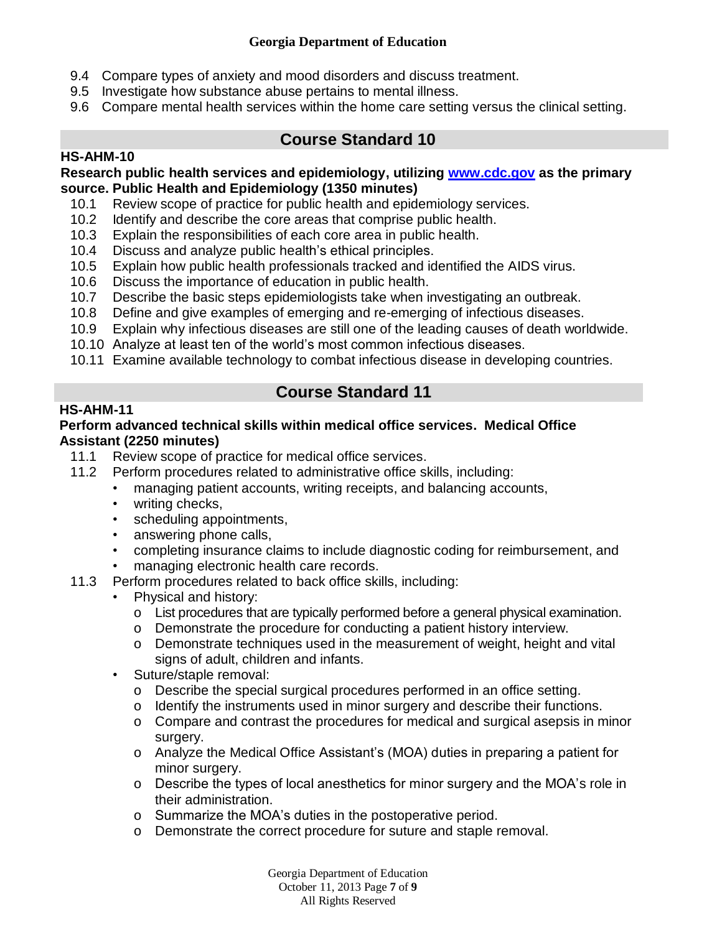### **Georgia Department of Education**

- 9.4 Compare types of anxiety and mood disorders and discuss treatment.
- 9.5 Investigate how substance abuse pertains to mental illness.
- 9.6 Compare mental health services within the home care setting versus the clinical setting.

# **Course Standard 10**

## **HS-AHM-10**

**Research public health services and epidemiology, utilizing [www.cdc.gov](http://www.cdc.gov/) as the primary source. Public Health and Epidemiology (1350 minutes)** 

- 10.1 Review scope of practice for public health and epidemiology services.
- 10.2 Identify and describe the core areas that comprise public health.
- 10.3 Explain the responsibilities of each core area in public health.
- 10.4 Discuss and analyze public health's ethical principles.
- 10.5 Explain how public health professionals tracked and identified the AIDS virus.
- 10.6 Discuss the importance of education in public health.
- 10.7 Describe the basic steps epidemiologists take when investigating an outbreak.
- 10.8 Define and give examples of emerging and re-emerging of infectious diseases.
- 10.9 Explain why infectious diseases are still one of the leading causes of death worldwide.
- 10.10 Analyze at least ten of the world's most common infectious diseases.
- 10.11 Examine available technology to combat infectious disease in developing countries.

# **Course Standard 11**

## **HS-AHM-11**

### **Perform advanced technical skills within medical office services. Medical Office Assistant (2250 minutes)**

- 11.1 Review scope of practice for medical office services.
- 11.2 Perform procedures related to administrative office skills, including:
	- managing patient accounts, writing receipts, and balancing accounts,
	- writing checks,
	- scheduling appointments,
	- answering phone calls,
	- completing insurance claims to include diagnostic coding for reimbursement, and
	- managing electronic health care records.
- 11.3 Perform procedures related to back office skills, including:
	- Physical and history:
		- o List procedures that are typically performed before a general physical examination.
		- o Demonstrate the procedure for conducting a patient history interview.
		- o Demonstrate techniques used in the measurement of weight, height and vital signs of adult, children and infants.
	- Suture/staple removal:
		- o Describe the special surgical procedures performed in an office setting.
		- o Identify the instruments used in minor surgery and describe their functions.
		- o Compare and contrast the procedures for medical and surgical asepsis in minor surgery.
		- o Analyze the Medical Office Assistant's (MOA) duties in preparing a patient for minor surgery.
		- o Describe the types of local anesthetics for minor surgery and the MOA's role in their administration.
		- o Summarize the MOA's duties in the postoperative period.
		- o Demonstrate the correct procedure for suture and staple removal.

Georgia Department of Education October 11, 2013 Page **7** of **9** All Rights Reserved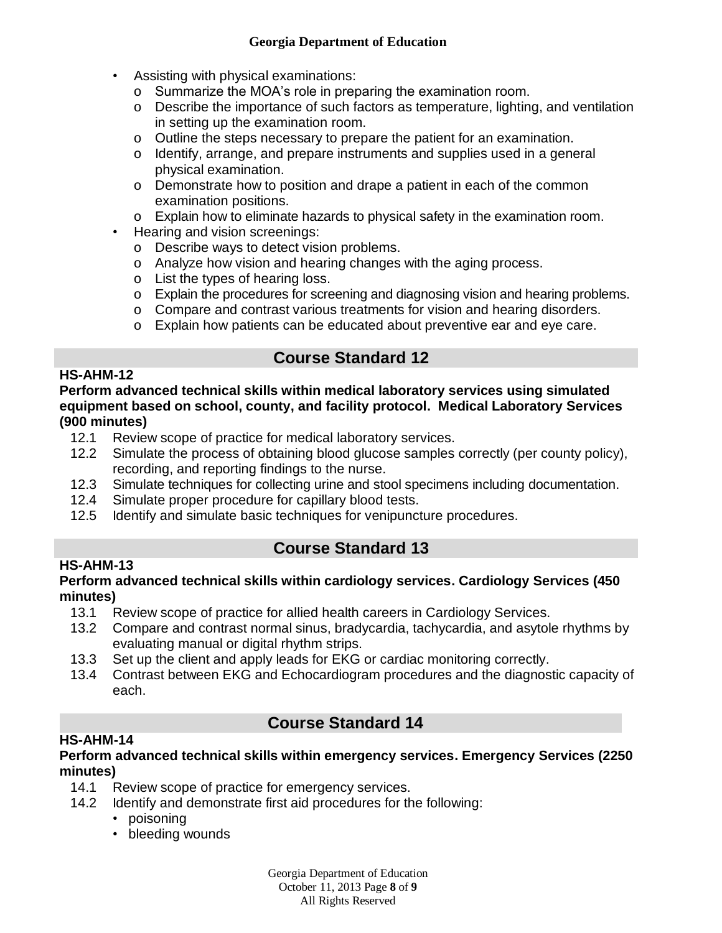- Assisting with physical examinations:
	- o Summarize the MOA's role in preparing the examination room.
	- o Describe the importance of such factors as temperature, lighting, and ventilation in setting up the examination room.
	- o Outline the steps necessary to prepare the patient for an examination.
	- o Identify, arrange, and prepare instruments and supplies used in a general physical examination.
	- o Demonstrate how to position and drape a patient in each of the common examination positions.
	- o Explain how to eliminate hazards to physical safety in the examination room.
- Hearing and vision screenings:
	- o Describe ways to detect vision problems.
	- o Analyze how vision and hearing changes with the aging process.
	- o List the types of hearing loss.
	- o Explain the procedures for screening and diagnosing vision and hearing problems.
	- o Compare and contrast various treatments for vision and hearing disorders.
	- o Explain how patients can be educated about preventive ear and eye care.

# **Course Standard 12**

### **HS-AHM-12**

**Perform advanced technical skills within medical laboratory services using simulated equipment based on school, county, and facility protocol. Medical Laboratory Services (900 minutes)**

- 12.1 Review scope of practice for medical laboratory services.
- 12.2 Simulate the process of obtaining blood glucose samples correctly (per county policy), recording, and reporting findings to the nurse.
- 12.3 Simulate techniques for collecting urine and stool specimens including documentation.
- 12.4 Simulate proper procedure for capillary blood tests.
- 12.5 Identify and simulate basic techniques for venipuncture procedures.

## **HS-AHM-13**

## **Course Standard 13**

### **Perform advanced technical skills within cardiology services. Cardiology Services (450 minutes)**

- 13.1 Review scope of practice for allied health careers in Cardiology Services.
- 13.2 Compare and contrast normal sinus, bradycardia, tachycardia, and asytole rhythms by evaluating manual or digital rhythm strips.
- 13.3 Set up the client and apply leads for EKG or cardiac monitoring correctly.
- 13.4 Contrast between EKG and Echocardiogram procedures and the diagnostic capacity of each.

# **Course Standard 14**

## **HS-AHM-14**

### **Perform advanced technical skills within emergency services. Emergency Services (2250 minutes)**

- 14.1 Review scope of practice for emergency services.
- 14.2 Identify and demonstrate first aid procedures for the following:
	- poisoning
	- bleeding wounds

Georgia Department of Education October 11, 2013 Page **8** of **9** All Rights Reserved